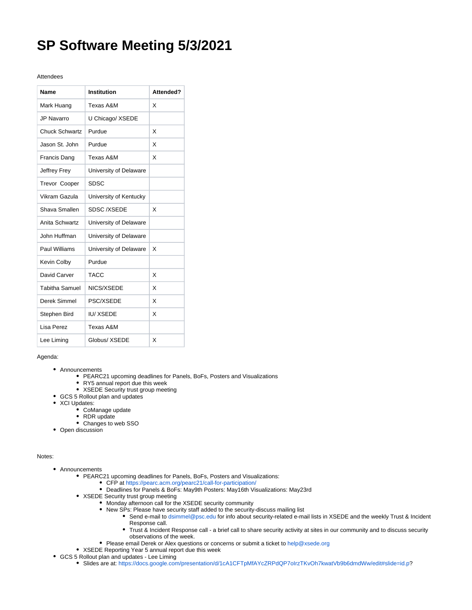## **SP Software Meeting 5/3/2021**

## Attendees

| Name                  | <b>Institution</b>     | Attended? |
|-----------------------|------------------------|-----------|
| Mark Huang            | Texas A&M              | x         |
| <b>JP Navarro</b>     | U Chicago/ XSEDE       |           |
| <b>Chuck Schwartz</b> | Purdue                 | X         |
| Jason St. John        | Purdue                 | X         |
| Francis Dang          | Texas A&M              | X         |
| Jeffrey Frey          | University of Delaware |           |
| <b>Trevor Cooper</b>  | <b>SDSC</b>            |           |
| Vikram Gazula         | University of Kentucky |           |
| Shava Smallen         | <b>SDSC/XSEDE</b>      | x         |
| Anita Schwartz        | University of Delaware |           |
| John Huffman          | University of Delaware |           |
| Paul Williams         | University of Delaware | x         |
| Kevin Colby           | Purdue                 |           |
| David Carver          | <b>TACC</b>            | X         |
| <b>Tabitha Samuel</b> | NICS/XSEDE             | X         |
| Derek Simmel          | PSC/XSEDE              | X         |
| Stephen Bird          | <b>IU/XSEDE</b>        | x         |
| I isa Perez           | Texas A&M              |           |
| Lee Liming            | Globus/ XSEDE          | X         |

## Agenda:

- Announcements
	- PEARC21 upcoming deadlines for Panels, BoFs, Posters and Visualizations
	- RY5 annual report due this week
	- XSEDE Security trust group meeting
- GCS 5 Rollout plan and updates
- XCI Updates:
	- CoManage update
	- RDR update
	- Changes to web SSO
- Open discussion

## Notes:

- Announcements
	- PEARC21 upcoming deadlines for Panels, BoFs, Posters and Visualizations:
		- CFP at<https://pearc.acm.org/pearc21/call-for-participation/>
		- Deadlines for Panels & BoFs: May9th Posters: May16th Visualizations: May23rd
	- XSEDE Security trust group meeting
		- Monday afternoon call for the XSEDE security community
		- New SPs: Please have security staff added to the security-discuss mailing list
			- Send e-mail to [dsimmel@psc.edu](mailto:dsimmel@psc.edu) for info about security-related e-mail lists in XSEDE and the weekly Trust & Incident Response call.
			- Trust & Incident Response call a brief call to share security activity at sites in our community and to discuss security observations of the week.
		- Please email Derek or Alex questions or concerns or submit a ticket to [help@xsede.org](mailto:help@xsede.org)
	- XSEDE Reporting Year 5 annual report due this week
- GCS 5 Rollout plan and updates Lee Liming
	- Slides are at: <https://docs.google.com/presentation/d/1cA1CFTpMfAYcZRPdQP7oIrzTKvOh7kwatVb9b6dmdWw/edit#slide=id.p>?